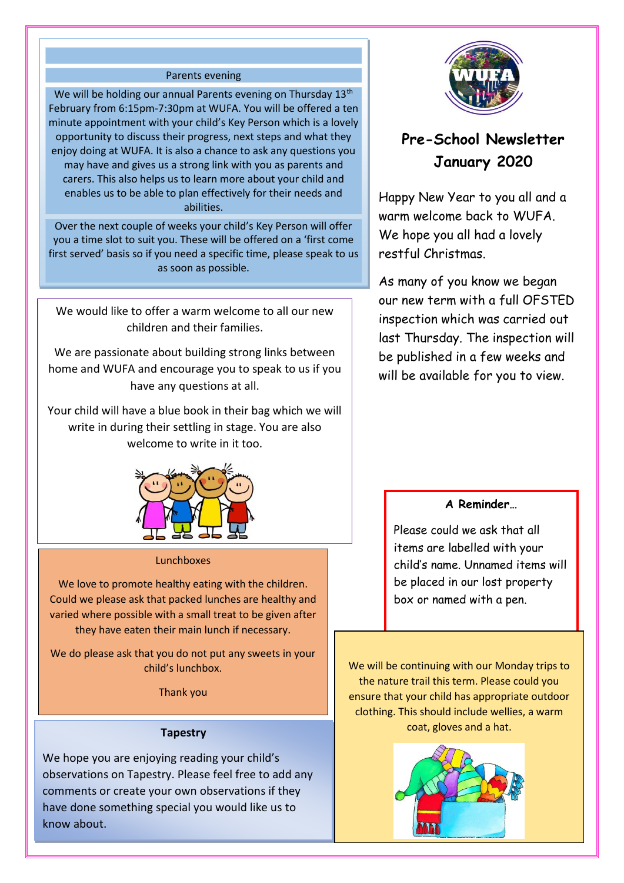### Parents evening

We will be holding our annual Parents evening on Thursday 13<sup>th</sup> February from 6:15pm-7:30pm at WUFA. You will be offered a ten minute appointment with your child's Key Person which is a lovely opportunity to discuss their progress, next steps and what they enjoy doing at WUFA. It is also a chance to ask any questions you may have and gives us a strong link with you as parents and carers. This also helps us to learn more about your child and enables us to be able to plan effectively for their needs and abilities.

Over the next couple of weeks your child's Key Person will offer you a time slot to suit you. These will be offered on a 'first come first served' basis so if you need a specific time, please speak to us as soon as possible.

We would like to offer a warm welcome to all our new children and their families.

We are passionate about building strong links between home and WUFA and encourage you to speak to us if you have any questions at all.

Your child will have a blue book in their bag which we will write in during their settling in stage. You are also welcome to write in it too.



#### Lunchboxes

We love to promote healthy eating with the children. Could we please ask that packed lunches are healthy and varied where possible with a small treat to be given after they have eaten their main lunch if necessary.

We do please ask that you do not put any sweets in your child's lunchbox.

Thank you

### **Tapestry**

We hope you are enjoying reading your child's observations on Tapestry. Please feel free to add any comments or create your own observations if they have done something special you would like us to know about.



# **Pre-School Newsletter January 2020**

Happy New Year to you all and a warm welcome back to WUFA. We hope you all had a lovely restful Christmas.

As many of you know we began our new term with a full OFSTED inspection which was carried out last Thursday. The inspection will be published in a few weeks and will be available for you to view.

## **A Reminder…**

Please could we ask that all items are labelled with your child's name. Unnamed items will be placed in our lost property box or named with a pen.

We will be continuing with our Monday trips to the nature trail this term. Please could you ensure that your child has appropriate outdoor clothing. This should include wellies, a warm coat, gloves and a hat.